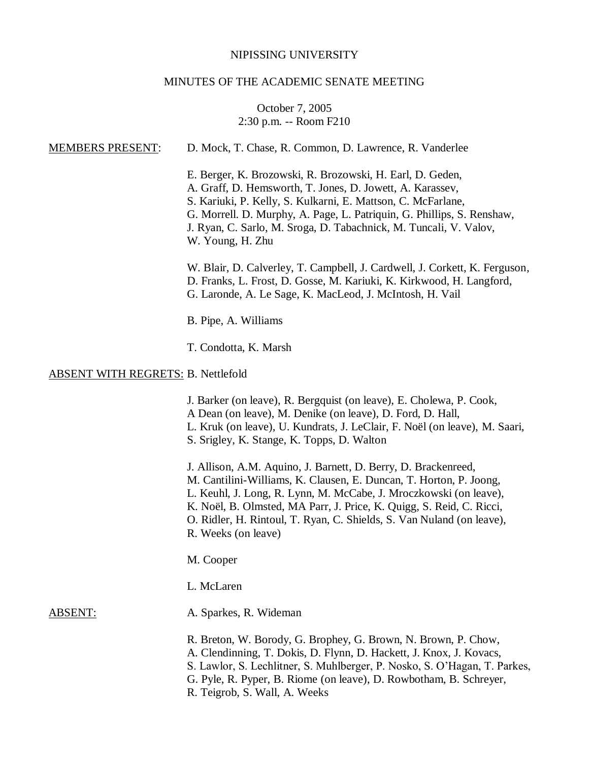#### NIPISSING UNIVERSITY

#### MINUTES OF THE ACADEMIC SENATE MEETING

# October 7, 2005 2:30 p.m. -- Room F210

MEMBERS PRESENT: D. Mock, T. Chase, R. Common, D. Lawrence, R. Vanderlee E. Berger, K. Brozowski, R. Brozowski, H. Earl, D. Geden, A. Graff, D. Hemsworth, T. Jones, D. Jowett, A. Karassev, S. Kariuki, P. Kelly, S. Kulkarni, E. Mattson, C. McFarlane, G. Morrell. D. Murphy, A. Page, L. Patriquin, G. Phillips, S. Renshaw, J. Ryan, C. Sarlo, M. Sroga, D. Tabachnick, M. Tuncali, V. Valov, W. Young, H. Zhu W. Blair, D. Calverley, T. Campbell, J. Cardwell, J. Corkett, K. Ferguson, D. Franks, L. Frost, D. Gosse, M. Kariuki, K. Kirkwood, H. Langford, G. Laronde, A. Le Sage, K. MacLeod, J. McIntosh, H. Vail B. Pipe, A. Williams T. Condotta, K. Marsh ABSENT WITH REGRETS: B. Nettlefold J. Barker (on leave), R. Bergquist (on leave), E. Cholewa, P. Cook, A Dean (on leave), M. Denike (on leave), D. Ford, D. Hall, L. Kruk (on leave), U. Kundrats, J. LeClair, F. Noël (on leave), M. Saari, S. Srigley, K. Stange, K. Topps, D. Walton J. Allison, A.M. Aquino, J. Barnett, D. Berry, D. Brackenreed, M. Cantilini-Williams, K. Clausen, E. Duncan, T. Horton, P. Joong, L. Keuhl, J. Long, R. Lynn, M. McCabe, J. Mroczkowski (on leave), K. Noël, B. Olmsted, MA Parr, J. Price, K. Quigg, S. Reid, C. Ricci, O. Ridler, H. Rintoul, T. Ryan, C. Shields, S. Van Nuland (on leave), R. Weeks (on leave) M. Cooper L. McLaren ABSENT: A. Sparkes, R. Wideman R. Breton, W. Borody, G. Brophey, G. Brown, N. Brown, P. Chow, A. Clendinning, T. Dokis, D. Flynn, D. Hackett, J. Knox, J. Kovacs, S. Lawlor, S. Lechlitner, S. Muhlberger, P. Nosko, S. O'Hagan, T. Parkes, G. Pyle, R. Pyper, B. Riome (on leave), D. Rowbotham, B. Schreyer, R. Teigrob, S. Wall, A. Weeks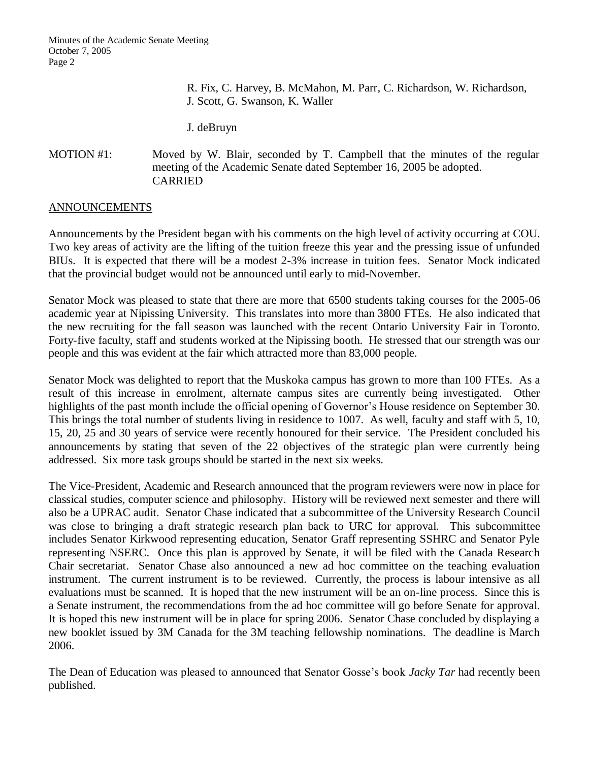R. Fix, C. Harvey, B. McMahon, M. Parr, C. Richardson, W. Richardson, J. Scott, G. Swanson, K. Waller

J. deBruyn

# MOTION #1: Moved by W. Blair, seconded by T. Campbell that the minutes of the regular meeting of the Academic Senate dated September 16, 2005 be adopted. CARRIED

# ANNOUNCEMENTS

Announcements by the President began with his comments on the high level of activity occurring at COU. Two key areas of activity are the lifting of the tuition freeze this year and the pressing issue of unfunded BIUs. It is expected that there will be a modest 2-3% increase in tuition fees. Senator Mock indicated that the provincial budget would not be announced until early to mid-November.

Senator Mock was pleased to state that there are more that 6500 students taking courses for the 2005-06 academic year at Nipissing University. This translates into more than 3800 FTEs. He also indicated that the new recruiting for the fall season was launched with the recent Ontario University Fair in Toronto. Forty-five faculty, staff and students worked at the Nipissing booth. He stressed that our strength was our people and this was evident at the fair which attracted more than 83,000 people.

Senator Mock was delighted to report that the Muskoka campus has grown to more than 100 FTEs. As a result of this increase in enrolment, alternate campus sites are currently being investigated. Other highlights of the past month include the official opening of Governor's House residence on September 30. This brings the total number of students living in residence to 1007. As well, faculty and staff with 5, 10, 15, 20, 25 and 30 years of service were recently honoured for their service. The President concluded his announcements by stating that seven of the 22 objectives of the strategic plan were currently being addressed. Six more task groups should be started in the next six weeks.

The Vice-President, Academic and Research announced that the program reviewers were now in place for classical studies, computer science and philosophy. History will be reviewed next semester and there will also be a UPRAC audit. Senator Chase indicated that a subcommittee of the University Research Council was close to bringing a draft strategic research plan back to URC for approval. This subcommittee includes Senator Kirkwood representing education, Senator Graff representing SSHRC and Senator Pyle representing NSERC. Once this plan is approved by Senate, it will be filed with the Canada Research Chair secretariat. Senator Chase also announced a new ad hoc committee on the teaching evaluation instrument. The current instrument is to be reviewed. Currently, the process is labour intensive as all evaluations must be scanned. It is hoped that the new instrument will be an on-line process. Since this is a Senate instrument, the recommendations from the ad hoc committee will go before Senate for approval. It is hoped this new instrument will be in place for spring 2006. Senator Chase concluded by displaying a new booklet issued by 3M Canada for the 3M teaching fellowship nominations. The deadline is March 2006.

The Dean of Education was pleased to announced that Senator Gosse's book *Jacky Tar* had recently been published.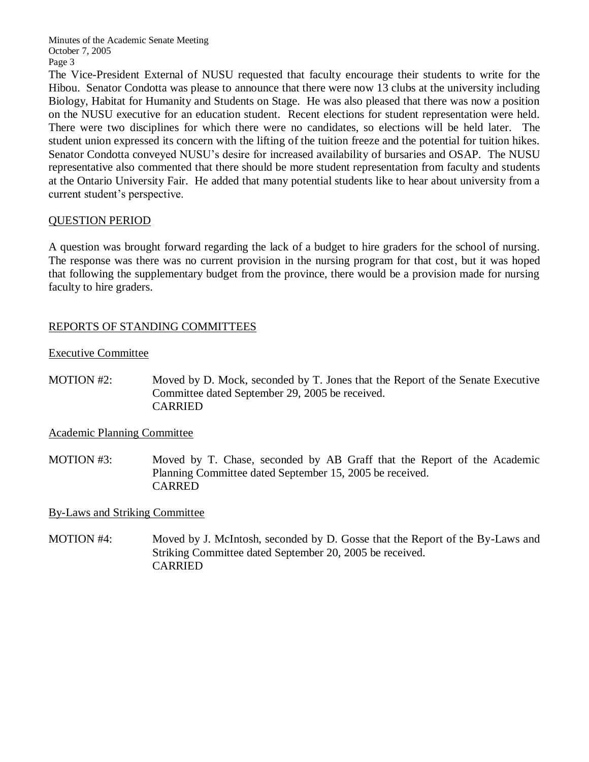Minutes of the Academic Senate Meeting October 7, 2005 Page 3

The Vice-President External of NUSU requested that faculty encourage their students to write for the Hibou. Senator Condotta was please to announce that there were now 13 clubs at the university including Biology, Habitat for Humanity and Students on Stage. He was also pleased that there was now a position on the NUSU executive for an education student. Recent elections for student representation were held. There were two disciplines for which there were no candidates, so elections will be held later. The student union expressed its concern with the lifting of the tuition freeze and the potential for tuition hikes. Senator Condotta conveyed NUSU's desire for increased availability of bursaries and OSAP. The NUSU representative also commented that there should be more student representation from faculty and students at the Ontario University Fair. He added that many potential students like to hear about university from a current student's perspective.

# QUESTION PERIOD

A question was brought forward regarding the lack of a budget to hire graders for the school of nursing. The response was there was no current provision in the nursing program for that cost, but it was hoped that following the supplementary budget from the province, there would be a provision made for nursing faculty to hire graders.

# REPORTS OF STANDING COMMITTEES

Executive Committee

MOTION #2: Moved by D. Mock, seconded by T. Jones that the Report of the Senate Executive Committee dated September 29, 2005 be received. CARRIED

# Academic Planning Committee

MOTION #3: Moved by T. Chase, seconded by AB Graff that the Report of the Academic Planning Committee dated September 15, 2005 be received. CARRED

# By-Laws and Striking Committee

MOTION #4: Moved by J. McIntosh, seconded by D. Gosse that the Report of the By-Laws and Striking Committee dated September 20, 2005 be received. CARRIED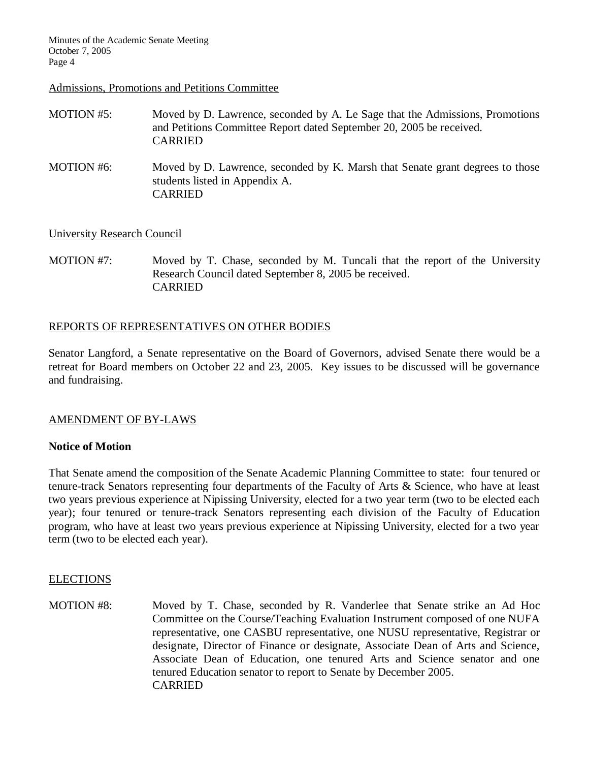Minutes of the Academic Senate Meeting October 7, 2005 Page 4

#### Admissions, Promotions and Petitions Committee

| MOTION #5: | Moved by D. Lawrence, seconded by A. Le Sage that the Admissions, Promotions<br>and Petitions Committee Report dated September 20, 2005 be received.<br><b>CARRIED</b> |
|------------|------------------------------------------------------------------------------------------------------------------------------------------------------------------------|
| MOTION #6: | Moved by D. Lawrence, seconded by K. Marsh that Senate grant degrees to those<br>students listed in Appendix A.                                                        |

CARRIED

### University Research Council

MOTION #7: Moved by T. Chase, seconded by M. Tuncali that the report of the University Research Council dated September 8, 2005 be received. CARRIED

### REPORTS OF REPRESENTATIVES ON OTHER BODIES

Senator Langford, a Senate representative on the Board of Governors, advised Senate there would be a retreat for Board members on October 22 and 23, 2005. Key issues to be discussed will be governance and fundraising.

### AMENDMENT OF BY-LAWS

#### **Notice of Motion**

That Senate amend the composition of the Senate Academic Planning Committee to state: four tenured or tenure-track Senators representing four departments of the Faculty of Arts & Science, who have at least two years previous experience at Nipissing University, elected for a two year term (two to be elected each year); four tenured or tenure-track Senators representing each division of the Faculty of Education program, who have at least two years previous experience at Nipissing University, elected for a two year term (two to be elected each year).

#### ELECTIONS

MOTION #8: Moved by T. Chase, seconded by R. Vanderlee that Senate strike an Ad Hoc Committee on the Course/Teaching Evaluation Instrument composed of one NUFA representative, one CASBU representative, one NUSU representative, Registrar or designate, Director of Finance or designate, Associate Dean of Arts and Science, Associate Dean of Education, one tenured Arts and Science senator and one tenured Education senator to report to Senate by December 2005. CARRIED